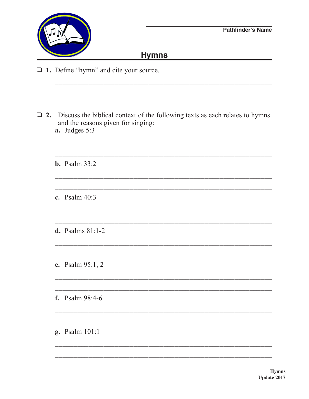

 $\Box$ 

## **Hymns**

1. Define "hymn" and cite your source.

| a. Judges 5:3           |
|-------------------------|
| <b>b.</b> Psalm $33:2$  |
| c. Psalm $40:3$         |
| d. Psalms $81:1-2$      |
| <b>e.</b> Psalm 95:1, 2 |
| <b>f.</b> Psalm 98:4-6  |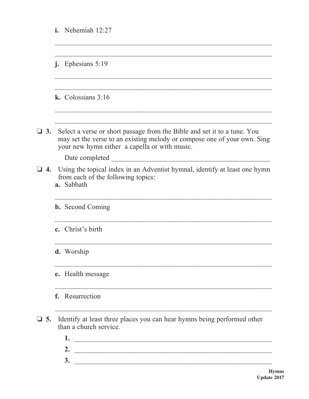|              | i.<br>Nehemiah 12:27                                                                                                                                                                                  |  |
|--------------|-------------------------------------------------------------------------------------------------------------------------------------------------------------------------------------------------------|--|
|              | Ephesians 5:19<br>$\mathbf{j}$ .                                                                                                                                                                      |  |
|              | k. Colossians $3:16$                                                                                                                                                                                  |  |
| $\Box$ 3.    | Select a verse or short passage from the Bible and set it to a tune. You<br>may set the verse to an existing melody or compose one of your own. Sing<br>your new hymn either a capella or with music. |  |
| $\Box$ 4.    | Date completed<br>Using the topical index in an Adventist hymnal, identify at least one hymn<br>from each of the following topics:<br>a. Sabbath                                                      |  |
|              | <b>b.</b> Second Coming                                                                                                                                                                               |  |
|              | c. Christ's birth                                                                                                                                                                                     |  |
|              | d. Worship                                                                                                                                                                                            |  |
|              | e. Health message                                                                                                                                                                                     |  |
|              | Resurrection<br>f.                                                                                                                                                                                    |  |
| $\square$ 5. | Identify at least three places you can hear hymns being performed other<br>than a church service.<br>1.<br><u> 1989 - Johann Barbara, martxa alemaniar a</u>                                          |  |
|              | 2.                                                                                                                                                                                                    |  |

 **3.** \_\_\_\_\_\_\_\_\_\_\_\_\_\_\_\_\_\_\_\_\_\_\_\_\_\_\_\_\_\_\_\_\_\_\_\_\_\_\_\_\_\_\_\_\_\_\_\_\_\_\_\_\_\_\_